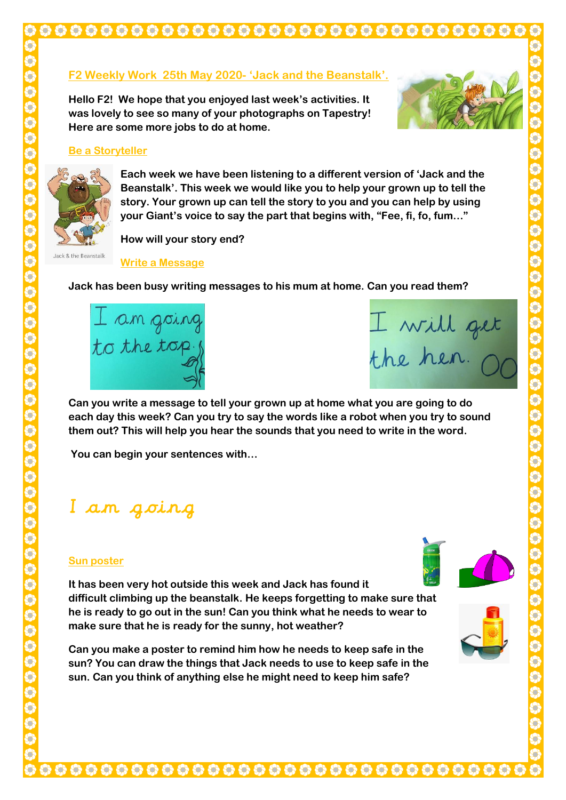# **6 6 6 6 6 6 6 6**

### **F2 Weekly Work 25th May 2020- 'Jack and the Beanstalk'.**

**Hello F2! We hope that you enjoyed last week's activities. It was lovely to see so many of your photographs on Tapestry! Here are some more jobs to do at home.**



#### **Be a Storyteller**



Jack & the Beanstalk

**Each week we have been listening to a different version of 'Jack and the Beanstalk'. This week we would like you to help your grown up to tell the story. Your grown up can tell the story to you and you can help by using your Giant's voice to say the part that begins with, "Fee, fi, fo, fum…"**

**How will your story end?**

**Write a Message**

**Jack has been busy writing messages to his mum at home. Can you read them?**



I will get<br>the hen. 00

**Can you write a message to tell your grown up at home what you are going to do each day this week? Can you try to say the words like a robot when you try to sound them out? This will help you hear the sounds that you need to write in the word.**

**You can begin your sentences with…**

## I am going

#### **Sun poster**



**It has been very hot outside this week and Jack has found it difficult climbing up the beanstalk. He keeps forgetting to make sure that he is ready to go out in the sun! Can you think what he needs to wear to make sure that he is ready for the sunny, hot weather?**

**Can you make a poster to remind him how he needs to keep safe in the sun? You can draw the things that Jack needs to use to keep safe in the sun. Can you think of anything else he might need to keep him safe?**